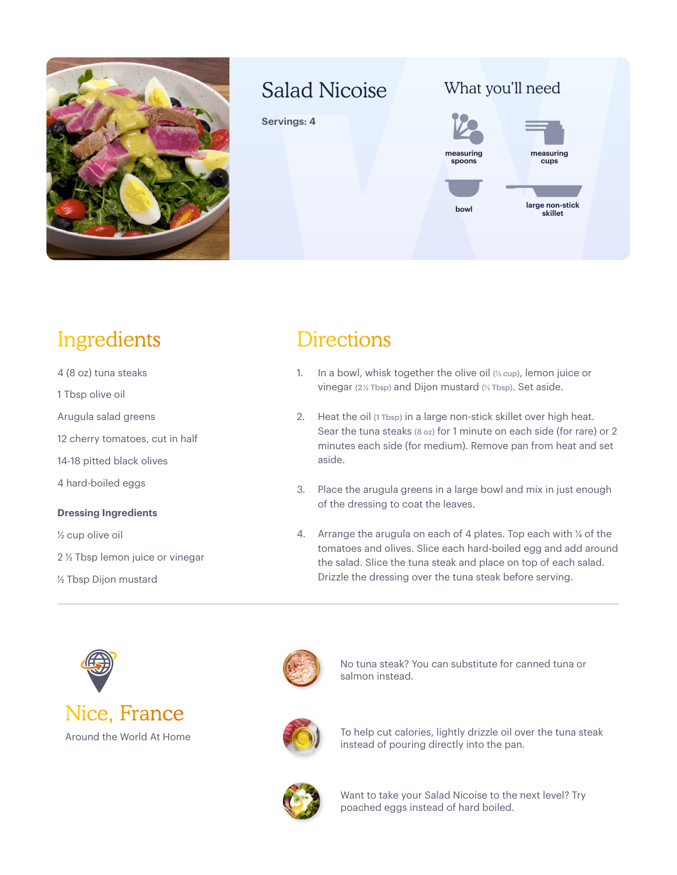

### Salad Nicoise

**Servings: 4**





## Ingredients

- 4 (8 oz) tuna steaks
- 1 Tbsp olive oil
- Arugula salad greens
- 12 cherry tomatoes, cut in half
- 14-18 pitted black olives
- 4 hard-boiled eggs

#### **Dressing Ingredients**

½ cup olive oil

- 2 ½ Tbsp lemon juice or vinegar
- ½ Tbsp Dijon mustard

### **Directions**

- 1. In a bowl, whisk together the olive oil  $(\frac{1}{2}$  cup), lemon juice or vinegar ( $2\frac{1}{2}$  Tbsp) and Dijon mustard ( $\frac{1}{2}$  Tbsp). Set aside.
- 2. Heat the oil (1 Tbsp) in a large non-stick skillet over high heat. Sear the tuna steaks (8 oz) for 1 minute on each side (for rare) or 2 minutes each side (for medium). Remove pan from heat and set aside.
- 3. Place the arugula greens in a large bowl and mix in just enough of the dressing to coat the leaves.
- 4. Arrange the arugula on each of 4 plates. Top each with ¼ of the tomatoes and olives. Slice each hard-boiled egg and add around the salad. Slice the tuna steak and place on top of each salad. Drizzle the dressing over the tuna steak before serving.







No tuna steak? You can substitute for canned tuna or salmon instead.



To help cut calories, lightly drizzle oil over the tuna steak instead of pouring directly into the pan.



Want to take your Salad Nicoise to the next level? Try poached eggs instead of hard boiled.